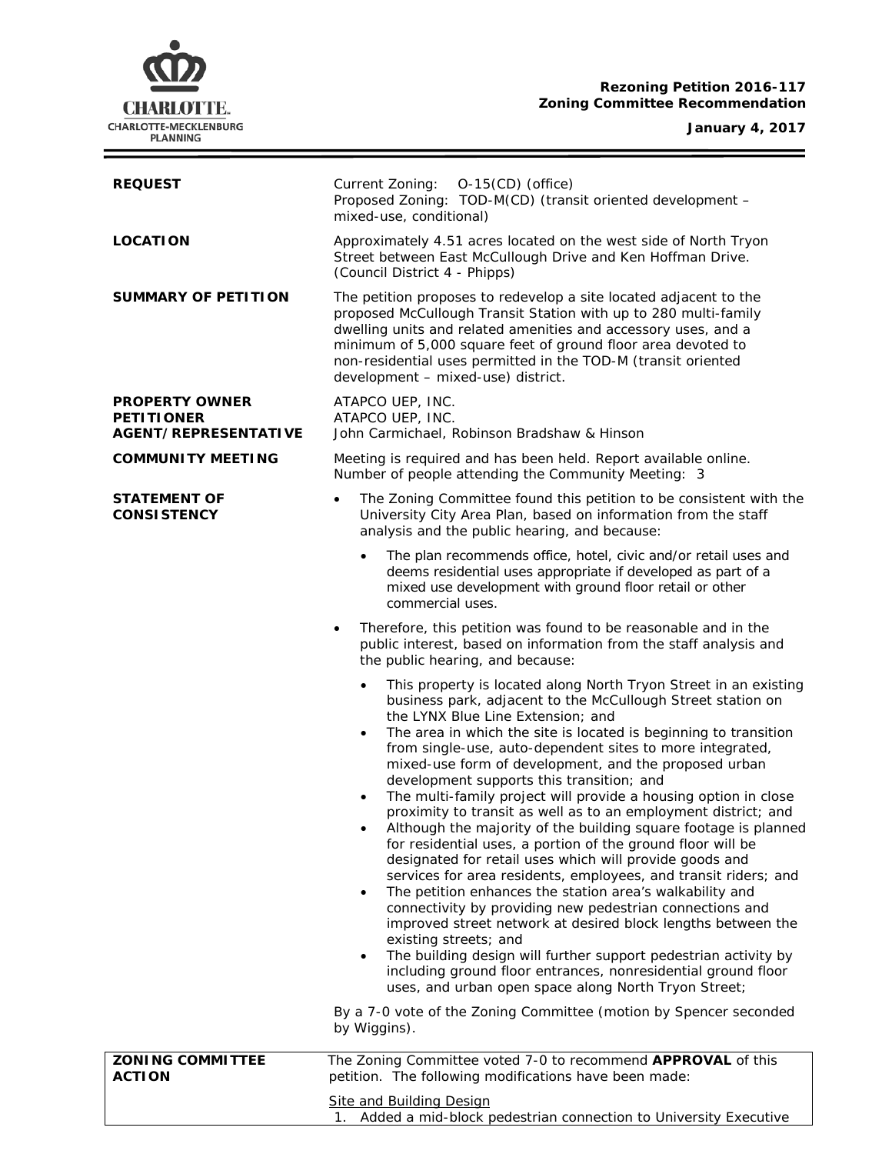### **Rezoning Petition 2016-117 Zoning Committee Recommendation**

**January 4, 2017**



| <b>REQUEST</b>                                                            | Current Zoning: 0-15(CD) (office)<br>Proposed Zoning: TOD-M(CD) (transit oriented development -<br>mixed-use, conditional)                                                                                                                                                                                                                                                                                                                                                                                                                                                                                                                                                                                                                                                                                                                                                                                                                                                                                                                                                                                                                                                                                                                                                                                                                                                          |  |  |
|---------------------------------------------------------------------------|-------------------------------------------------------------------------------------------------------------------------------------------------------------------------------------------------------------------------------------------------------------------------------------------------------------------------------------------------------------------------------------------------------------------------------------------------------------------------------------------------------------------------------------------------------------------------------------------------------------------------------------------------------------------------------------------------------------------------------------------------------------------------------------------------------------------------------------------------------------------------------------------------------------------------------------------------------------------------------------------------------------------------------------------------------------------------------------------------------------------------------------------------------------------------------------------------------------------------------------------------------------------------------------------------------------------------------------------------------------------------------------|--|--|
| <b>LOCATION</b>                                                           | Approximately 4.51 acres located on the west side of North Tryon<br>Street between East McCullough Drive and Ken Hoffman Drive.<br>(Council District 4 - Phipps)                                                                                                                                                                                                                                                                                                                                                                                                                                                                                                                                                                                                                                                                                                                                                                                                                                                                                                                                                                                                                                                                                                                                                                                                                    |  |  |
| <b>SUMMARY OF PETITION</b>                                                | The petition proposes to redevelop a site located adjacent to the<br>proposed McCullough Transit Station with up to 280 multi-family<br>dwelling units and related amenities and accessory uses, and a<br>minimum of 5,000 square feet of ground floor area devoted to<br>non-residential uses permitted in the TOD-M (transit oriented<br>development - mixed-use) district.                                                                                                                                                                                                                                                                                                                                                                                                                                                                                                                                                                                                                                                                                                                                                                                                                                                                                                                                                                                                       |  |  |
| <b>PROPERTY OWNER</b><br><b>PETITIONER</b><br><b>AGENT/REPRESENTATIVE</b> | ATAPCO UEP, INC.<br>ATAPCO UEP, INC.<br>John Carmichael, Robinson Bradshaw & Hinson                                                                                                                                                                                                                                                                                                                                                                                                                                                                                                                                                                                                                                                                                                                                                                                                                                                                                                                                                                                                                                                                                                                                                                                                                                                                                                 |  |  |
| <b>COMMUNITY MEETING</b>                                                  | Meeting is required and has been held. Report available online.<br>Number of people attending the Community Meeting: 3                                                                                                                                                                                                                                                                                                                                                                                                                                                                                                                                                                                                                                                                                                                                                                                                                                                                                                                                                                                                                                                                                                                                                                                                                                                              |  |  |
| <b>STATEMENT OF</b><br><b>CONSISTENCY</b>                                 | The Zoning Committee found this petition to be consistent with the<br>$\bullet$<br>University City Area Plan, based on information from the staff<br>analysis and the public hearing, and because:                                                                                                                                                                                                                                                                                                                                                                                                                                                                                                                                                                                                                                                                                                                                                                                                                                                                                                                                                                                                                                                                                                                                                                                  |  |  |
|                                                                           | The plan recommends office, hotel, civic and/or retail uses and<br>$\bullet$<br>deems residential uses appropriate if developed as part of a<br>mixed use development with ground floor retail or other<br>commercial uses.                                                                                                                                                                                                                                                                                                                                                                                                                                                                                                                                                                                                                                                                                                                                                                                                                                                                                                                                                                                                                                                                                                                                                         |  |  |
|                                                                           | Therefore, this petition was found to be reasonable and in the<br>$\bullet$<br>public interest, based on information from the staff analysis and<br>the public hearing, and because:                                                                                                                                                                                                                                                                                                                                                                                                                                                                                                                                                                                                                                                                                                                                                                                                                                                                                                                                                                                                                                                                                                                                                                                                |  |  |
|                                                                           | This property is located along North Tryon Street in an existing<br>$\bullet$<br>business park, adjacent to the McCullough Street station on<br>the LYNX Blue Line Extension; and<br>The area in which the site is located is beginning to transition<br>$\bullet$<br>from single-use, auto-dependent sites to more integrated,<br>mixed-use form of development, and the proposed urban<br>development supports this transition; and<br>The multi-family project will provide a housing option in close<br>$\bullet$<br>proximity to transit as well as to an employment district; and<br>Although the majority of the building square footage is planned<br>for residential uses, a portion of the ground floor will be<br>designated for retail uses which will provide goods and<br>services for area residents, employees, and transit riders; and<br>The petition enhances the station area's walkability and<br>$\bullet$<br>connectivity by providing new pedestrian connections and<br>improved street network at desired block lengths between the<br>existing streets; and<br>The building design will further support pedestrian activity by<br>$\bullet$<br>including ground floor entrances, nonresidential ground floor<br>uses, and urban open space along North Tryon Street;<br>By a 7-0 vote of the Zoning Committee (motion by Spencer seconded<br>by Wiggins). |  |  |
| <b>ZONING COMMITTEE</b>                                                   | The Zoning Committee voted 7-0 to recommend APPROVAL of this                                                                                                                                                                                                                                                                                                                                                                                                                                                                                                                                                                                                                                                                                                                                                                                                                                                                                                                                                                                                                                                                                                                                                                                                                                                                                                                        |  |  |
| <b>ACTION</b>                                                             | petition. The following modifications have been made:<br><b>Site and Building Design</b>                                                                                                                                                                                                                                                                                                                                                                                                                                                                                                                                                                                                                                                                                                                                                                                                                                                                                                                                                                                                                                                                                                                                                                                                                                                                                            |  |  |

1. Added a mid-block pedestrian connection to University Executive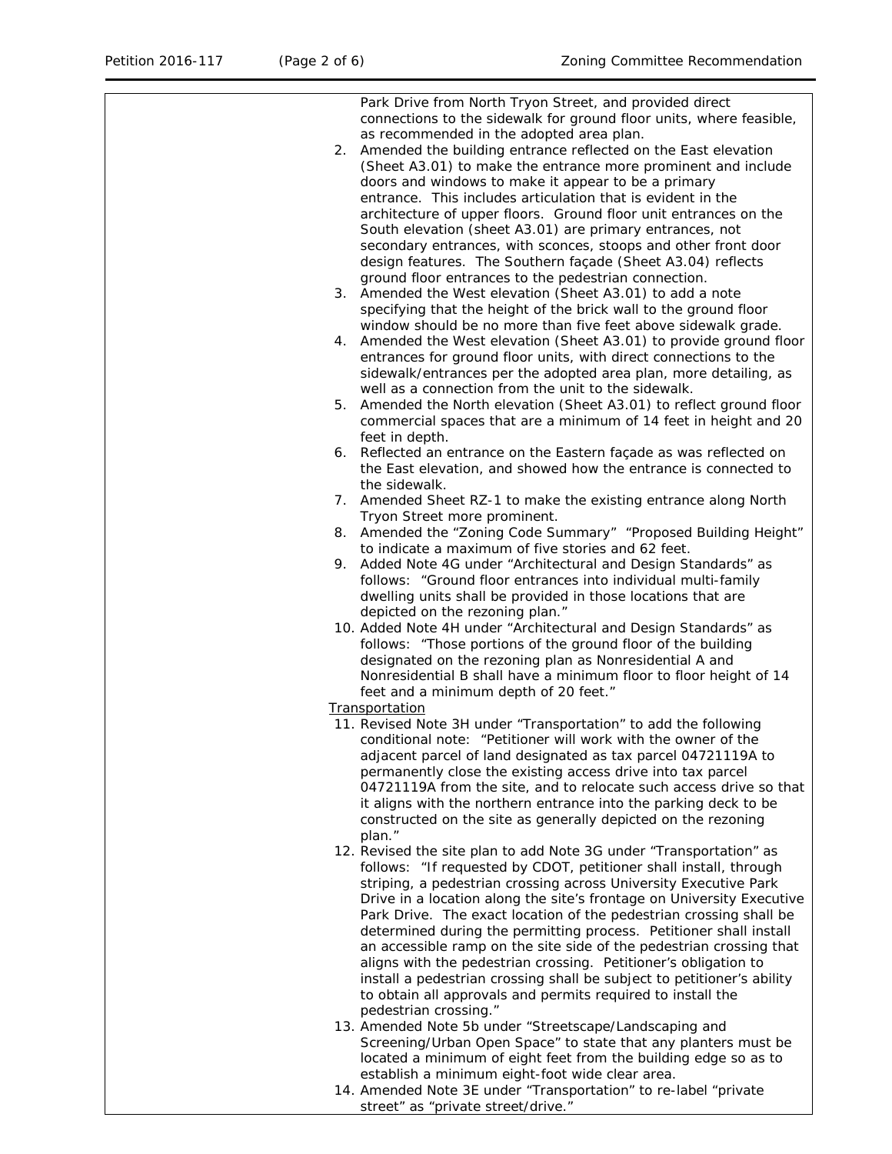|    | Park Drive from North Tryon Street, and provided direct<br>connections to the sidewalk for ground floor units, where feasible,<br>as recommended in the adopted area plan.<br>2. Amended the building entrance reflected on the East elevation<br>(Sheet A3.01) to make the entrance more prominent and include<br>doors and windows to make it appear to be a primary<br>entrance. This includes articulation that is evident in the<br>architecture of upper floors. Ground floor unit entrances on the<br>South elevation (sheet A3.01) are primary entrances, not<br>secondary entrances, with sconces, stoops and other front door<br>design features. The Southern façade (Sheet A3.04) reflects<br>ground floor entrances to the pedestrian connection. |
|----|----------------------------------------------------------------------------------------------------------------------------------------------------------------------------------------------------------------------------------------------------------------------------------------------------------------------------------------------------------------------------------------------------------------------------------------------------------------------------------------------------------------------------------------------------------------------------------------------------------------------------------------------------------------------------------------------------------------------------------------------------------------|
|    | 3. Amended the West elevation (Sheet A3.01) to add a note<br>specifying that the height of the brick wall to the ground floor<br>window should be no more than five feet above sidewalk grade.                                                                                                                                                                                                                                                                                                                                                                                                                                                                                                                                                                 |
|    | 4. Amended the West elevation (Sheet A3.01) to provide ground floor<br>entrances for ground floor units, with direct connections to the<br>sidewalk/entrances per the adopted area plan, more detailing, as<br>well as a connection from the unit to the sidewalk.                                                                                                                                                                                                                                                                                                                                                                                                                                                                                             |
| 5. | Amended the North elevation (Sheet A3.01) to reflect ground floor<br>commercial spaces that are a minimum of 14 feet in height and 20<br>feet in depth.                                                                                                                                                                                                                                                                                                                                                                                                                                                                                                                                                                                                        |
|    | 6. Reflected an entrance on the Eastern façade as was reflected on<br>the East elevation, and showed how the entrance is connected to<br>the sidewalk.                                                                                                                                                                                                                                                                                                                                                                                                                                                                                                                                                                                                         |
|    | 7. Amended Sheet RZ-1 to make the existing entrance along North<br>Tryon Street more prominent.                                                                                                                                                                                                                                                                                                                                                                                                                                                                                                                                                                                                                                                                |
| 8. | Amended the "Zoning Code Summary" "Proposed Building Height"<br>to indicate a maximum of five stories and 62 feet.                                                                                                                                                                                                                                                                                                                                                                                                                                                                                                                                                                                                                                             |
| 9. | Added Note 4G under "Architectural and Design Standards" as<br>follows: "Ground floor entrances into individual multi-family<br>dwelling units shall be provided in those locations that are<br>depicted on the rezoning plan."                                                                                                                                                                                                                                                                                                                                                                                                                                                                                                                                |
|    | 10. Added Note 4H under "Architectural and Design Standards" as<br>follows: "Those portions of the ground floor of the building<br>designated on the rezoning plan as Nonresidential A and<br>Nonresidential B shall have a minimum floor to floor height of 14<br>feet and a minimum depth of 20 feet."                                                                                                                                                                                                                                                                                                                                                                                                                                                       |
|    | <b>Transportation</b>                                                                                                                                                                                                                                                                                                                                                                                                                                                                                                                                                                                                                                                                                                                                          |
|    | 11. Revised Note 3H under "Transportation" to add the following<br>conditional note: "Petitioner will work with the owner of the<br>adjacent parcel of land designated as tax parcel 04721119A to<br>permanently close the existing access drive into tax parcel<br>04721119A from the site, and to relocate such access drive so that<br>it aligns with the northern entrance into the parking deck to be<br>constructed on the site as generally depicted on the rezoning<br>plan."                                                                                                                                                                                                                                                                          |
|    | 12. Revised the site plan to add Note 3G under "Transportation" as<br>follows: "If requested by CDOT, petitioner shall install, through<br>striping, a pedestrian crossing across University Executive Park<br>Drive in a location along the site's frontage on University Executive<br>Park Drive. The exact location of the pedestrian crossing shall be<br>determined during the permitting process. Petitioner shall install<br>an accessible ramp on the site side of the pedestrian crossing that<br>aligns with the pedestrian crossing. Petitioner's obligation to<br>install a pedestrian crossing shall be subject to petitioner's ability<br>to obtain all approvals and permits required to install the<br>pedestrian crossing."                   |
|    | 13. Amended Note 5b under "Streetscape/Landscaping and<br>Screening/Urban Open Space" to state that any planters must be<br>located a minimum of eight feet from the building edge so as to                                                                                                                                                                                                                                                                                                                                                                                                                                                                                                                                                                    |
|    | establish a minimum eight-foot wide clear area.<br>14. Amended Note 3E under "Transportation" to re-label "private<br>street" as "private street/drive."                                                                                                                                                                                                                                                                                                                                                                                                                                                                                                                                                                                                       |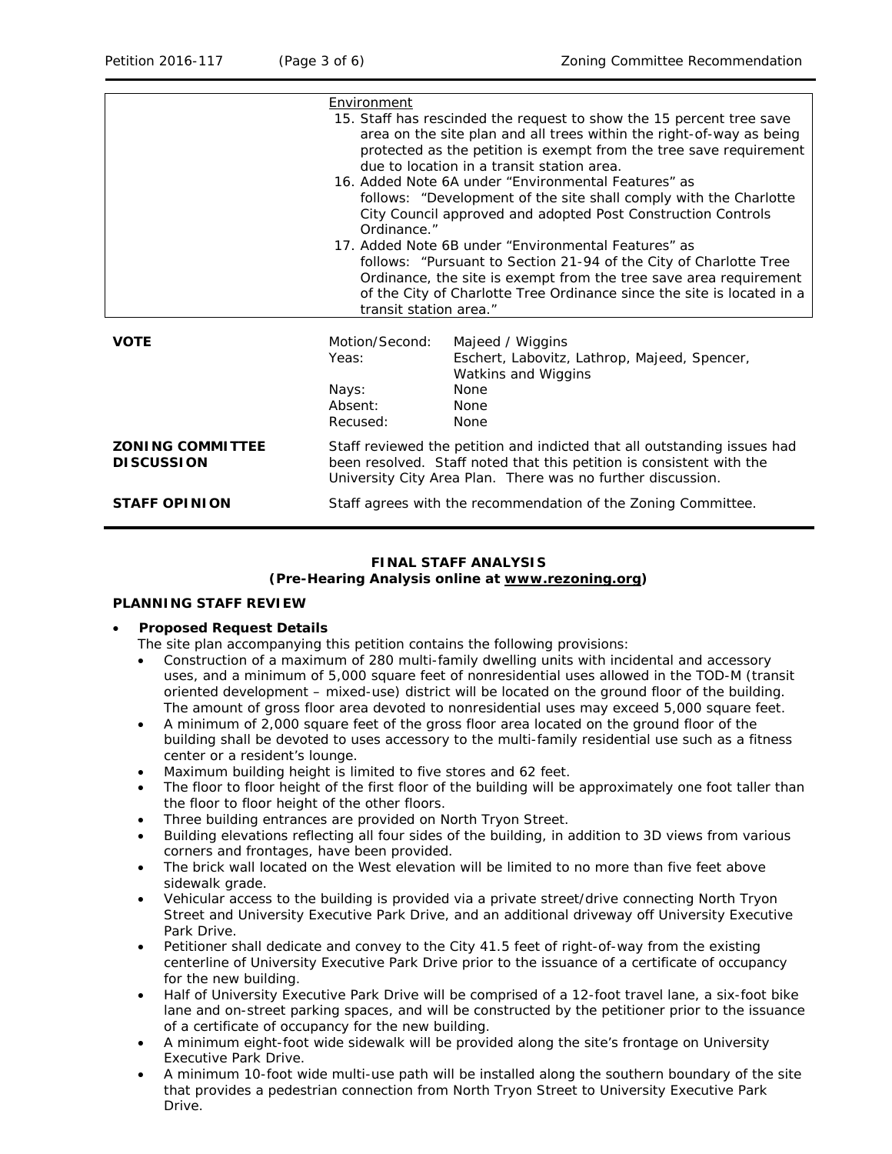|                                              | Environment                                                                                                                                                                                                                                                                                                                                                                                                                                                                                                  | 15. Staff has rescinded the request to show the 15 percent tree save<br>area on the site plan and all trees within the right-of-way as being |  |  |
|----------------------------------------------|--------------------------------------------------------------------------------------------------------------------------------------------------------------------------------------------------------------------------------------------------------------------------------------------------------------------------------------------------------------------------------------------------------------------------------------------------------------------------------------------------------------|----------------------------------------------------------------------------------------------------------------------------------------------|--|--|
|                                              | protected as the petition is exempt from the tree save requirement<br>due to location in a transit station area.                                                                                                                                                                                                                                                                                                                                                                                             |                                                                                                                                              |  |  |
|                                              | 16. Added Note 6A under "Environmental Features" as<br>follows: "Development of the site shall comply with the Charlotte<br>City Council approved and adopted Post Construction Controls<br>Ordinance."<br>17. Added Note 6B under "Environmental Features" as<br>follows: "Pursuant to Section 21-94 of the City of Charlotte Tree<br>Ordinance, the site is exempt from the tree save area requirement<br>of the City of Charlotte Tree Ordinance since the site is located in a<br>transit station area." |                                                                                                                                              |  |  |
|                                              |                                                                                                                                                                                                                                                                                                                                                                                                                                                                                                              |                                                                                                                                              |  |  |
| <b>VOTE</b>                                  | Motion/Second:<br>Yeas:                                                                                                                                                                                                                                                                                                                                                                                                                                                                                      | Majeed / Wiggins<br>Eschert, Labovitz, Lathrop, Majeed, Spencer,<br>Watkins and Wiggins                                                      |  |  |
|                                              | Nays:<br>Absent:<br>Recused:                                                                                                                                                                                                                                                                                                                                                                                                                                                                                 | <b>None</b><br>None<br><b>None</b>                                                                                                           |  |  |
| <b>ZONING COMMITTEE</b><br><b>DISCUSSION</b> | Staff reviewed the petition and indicted that all outstanding issues had<br>been resolved. Staff noted that this petition is consistent with the<br>University City Area Plan. There was no further discussion.                                                                                                                                                                                                                                                                                              |                                                                                                                                              |  |  |
| <b>STAFF OPINION</b>                         | Staff agrees with the recommendation of the Zoning Committee.                                                                                                                                                                                                                                                                                                                                                                                                                                                |                                                                                                                                              |  |  |

# **FINAL STAFF ANALYSIS**

#### **(Pre-Hearing Analysis online at [www.rezoning.org\)](http://www.rezoning.org/)**

### **PLANNING STAFF REVIEW**

#### • **Proposed Request Details**

- The site plan accompanying this petition contains the following provisions:
- Construction of a maximum of 280 multi-family dwelling units with incidental and accessory uses, and a minimum of 5,000 square feet of nonresidential uses allowed in the TOD-M (transit oriented development – mixed-use) district will be located on the ground floor of the building. The amount of gross floor area devoted to nonresidential uses may exceed 5,000 square feet.
- A minimum of 2,000 square feet of the gross floor area located on the ground floor of the building shall be devoted to uses accessory to the multi-family residential use such as a fitness center or a resident's lounge.
- Maximum building height is limited to five stores and 62 feet.
- The floor to floor height of the first floor of the building will be approximately one foot taller than the floor to floor height of the other floors.
- Three building entrances are provided on North Tryon Street.
- Building elevations reflecting all four sides of the building, in addition to 3D views from various corners and frontages, have been provided.
- The brick wall located on the West elevation will be limited to no more than five feet above sidewalk grade.
- Vehicular access to the building is provided via a private street/drive connecting North Tryon Street and University Executive Park Drive, and an additional driveway off University Executive Park Drive.
- Petitioner shall dedicate and convey to the City 41.5 feet of right-of-way from the existing centerline of University Executive Park Drive prior to the issuance of a certificate of occupancy for the new building.
- Half of University Executive Park Drive will be comprised of a 12-foot travel lane, a six-foot bike lane and on-street parking spaces, and will be constructed by the petitioner prior to the issuance of a certificate of occupancy for the new building.
- A minimum eight-foot wide sidewalk will be provided along the site's frontage on University Executive Park Drive.
- A minimum 10-foot wide multi-use path will be installed along the southern boundary of the site that provides a pedestrian connection from North Tryon Street to University Executive Park Drive.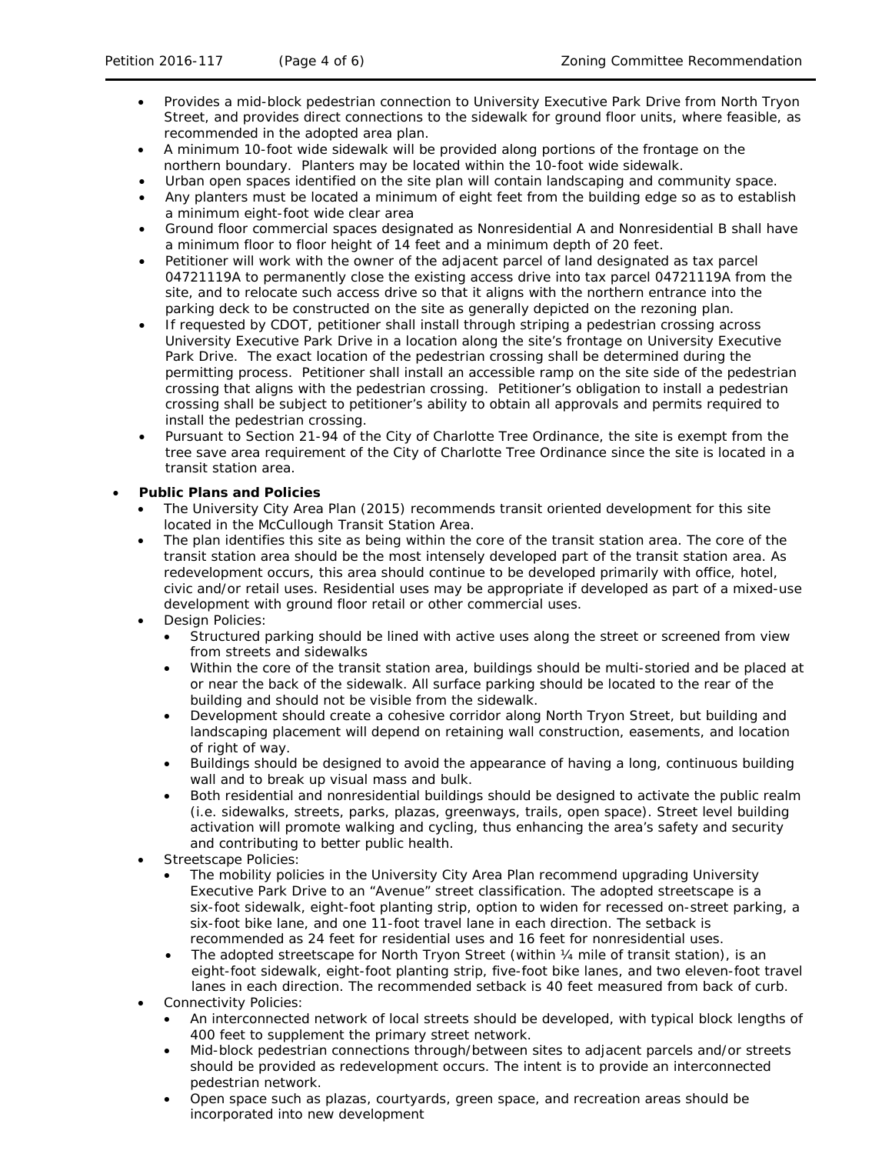- Provides a mid-block pedestrian connection to University Executive Park Drive from North Tryon Street, and provides direct connections to the sidewalk for ground floor units, where feasible, as recommended in the adopted area plan.
- A minimum 10-foot wide sidewalk will be provided along portions of the frontage on the northern boundary. Planters may be located within the 10-foot wide sidewalk.
- Urban open spaces identified on the site plan will contain landscaping and community space.
- Any planters must be located a minimum of eight feet from the building edge so as to establish a minimum eight-foot wide clear area
- Ground floor commercial spaces designated as Nonresidential A and Nonresidential B shall have a minimum floor to floor height of 14 feet and a minimum depth of 20 feet.
- Petitioner will work with the owner of the adjacent parcel of land designated as tax parcel 04721119A to permanently close the existing access drive into tax parcel 04721119A from the site, and to relocate such access drive so that it aligns with the northern entrance into the parking deck to be constructed on the site as generally depicted on the rezoning plan.
- If requested by CDOT, petitioner shall install through striping a pedestrian crossing across University Executive Park Drive in a location along the site's frontage on University Executive Park Drive. The exact location of the pedestrian crossing shall be determined during the permitting process. Petitioner shall install an accessible ramp on the site side of the pedestrian crossing that aligns with the pedestrian crossing. Petitioner's obligation to install a pedestrian crossing shall be subject to petitioner's ability to obtain all approvals and permits required to install the pedestrian crossing.
- Pursuant to Section 21-94 of the City of Charlotte Tree Ordinance, the site is exempt from the tree save area requirement of the City of Charlotte Tree Ordinance since the site is located in a transit station area.

### • **Public Plans and Policies**

- The *University City Area Plan* (2015) recommends transit oriented development for this site located in the McCullough Transit Station Area.
- The plan identifies this site as being within the core of the transit station area. The core of the transit station area should be the most intensely developed part of the transit station area. As redevelopment occurs, this area should continue to be developed primarily with office, hotel, civic and/or retail uses. Residential uses may be appropriate if developed as part of a mixed-use development with ground floor retail or other commercial uses.
- Design Policies:
	- Structured parking should be lined with active uses along the street or screened from view from streets and sidewalks
	- Within the core of the transit station area, buildings should be multi-storied and be placed at or near the back of the sidewalk. All surface parking should be located to the rear of the building and should not be visible from the sidewalk.
	- Development should create a cohesive corridor along North Tryon Street, but building and landscaping placement will depend on retaining wall construction, easements, and location of right of way.
	- Buildings should be designed to avoid the appearance of having a long, continuous building wall and to break up visual mass and bulk.
	- Both residential and nonresidential buildings should be designed to activate the public realm (i.e. sidewalks, streets, parks, plazas, greenways, trails, open space). Street level building activation will promote walking and cycling, thus enhancing the area's safety and security and contributing to better public health.
- Streetscape Policies:
	- The mobility policies in the *University City Area Plan* recommend upgrading University Executive Park Drive to an "Avenue" street classification. The adopted streetscape is a six-foot sidewalk, eight-foot planting strip, option to widen for recessed on-street parking, a six-foot bike lane, and one 11-foot travel lane in each direction. The setback is recommended as 24 feet for residential uses and 16 feet for nonresidential uses.
	- The adopted streetscape for North Tryon Street (within 1/4 mile of transit station), is an eight-foot sidewalk, eight-foot planting strip, five-foot bike lanes, and two eleven-foot travel lanes in each direction. The recommended setback is 40 feet measured from back of curb.
- Connectivity Policies:
	- An interconnected network of local streets should be developed, with typical block lengths of 400 feet to supplement the primary street network.
	- Mid-block pedestrian connections through/between sites to adjacent parcels and/or streets should be provided as redevelopment occurs. The intent is to provide an interconnected pedestrian network.
	- Open space such as plazas, courtyards, green space, and recreation areas should be incorporated into new development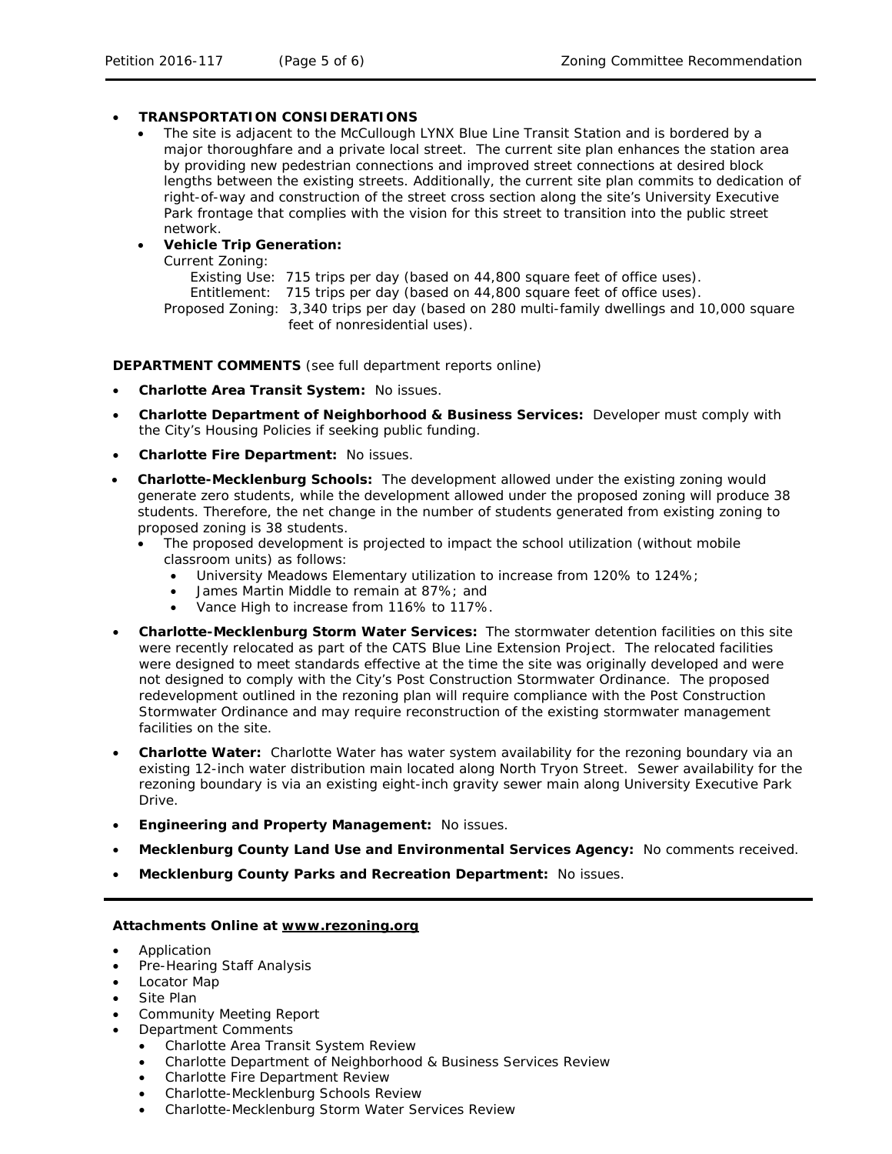### • **TRANSPORTATION CONSIDERATIONS**

• The site is adjacent to the McCullough LYNX Blue Line Transit Station and is bordered by a major thoroughfare and a private local street. The current site plan enhances the station area by providing new pedestrian connections and improved street connections at desired block lengths between the existing streets. Additionally, the current site plan commits to dedication of right-of-way and construction of the street cross section along the site's University Executive Park frontage that complies with the vision for this street to transition into the public street network.

## • **Vehicle Trip Generation:**

Current Zoning:

Existing Use: 715 trips per day (based on 44,800 square feet of office uses). Entitlement: 715 trips per day (based on 44,800 square feet of office uses). Proposed Zoning: 3,340 trips per day (based on 280 multi-family dwellings and 10,000 square feet of nonresidential uses).

**DEPARTMENT COMMENTS** (see full department reports online)

- **Charlotte Area Transit System:** No issues.
- **Charlotte Department of Neighborhood & Business Services:** Developer must comply with the City's Housing Policies if seeking public funding.
- **Charlotte Fire Department:** No issues.
- **Charlotte-Mecklenburg Schools:** The development allowed under the existing zoning would generate zero students, while the development allowed under the proposed zoning will produce 38 students. Therefore, the net change in the number of students generated from existing zoning to proposed zoning is 38 students.
	- The proposed development is projected to impact the school utilization (without mobile classroom units) as follows:
		- University Meadows Elementary utilization to increase from 120% to 124%;
		- James Martin Middle to remain at 87%; and
		- Vance High to increase from 116% to 117%.
- **Charlotte-Mecklenburg Storm Water Services:** The stormwater detention facilities on this site were recently relocated as part of the CATS Blue Line Extension Project. The relocated facilities were designed to meet standards effective at the time the site was originally developed and were not designed to comply with the City's Post Construction Stormwater Ordinance. The proposed redevelopment outlined in the rezoning plan will require compliance with the Post Construction Stormwater Ordinance and may require reconstruction of the existing stormwater management facilities on the site.
- **Charlotte Water:** Charlotte Water has water system availability for the rezoning boundary via an existing 12-inch water distribution main located along North Tryon Street. Sewer availability for the rezoning boundary is via an existing eight-inch gravity sewer main along University Executive Park Drive.
- **Engineering and Property Management:** No issues.
- **Mecklenburg County Land Use and Environmental Services Agency:** No comments received.
- **Mecklenburg County Parks and Recreation Department:** No issues.

#### **Attachments Online at [www.rezoning.org](http://www.rezoning.org/)**

- Application
- Pre-Hearing Staff Analysis
- Locator Map
- Site Plan
- Community Meeting Report
- Department Comments
	- Charlotte Area Transit System Review
	- Charlotte Department of Neighborhood & Business Services Review
	- Charlotte Fire Department Review
	- Charlotte-Mecklenburg Schools Review
	- Charlotte-Mecklenburg Storm Water Services Review